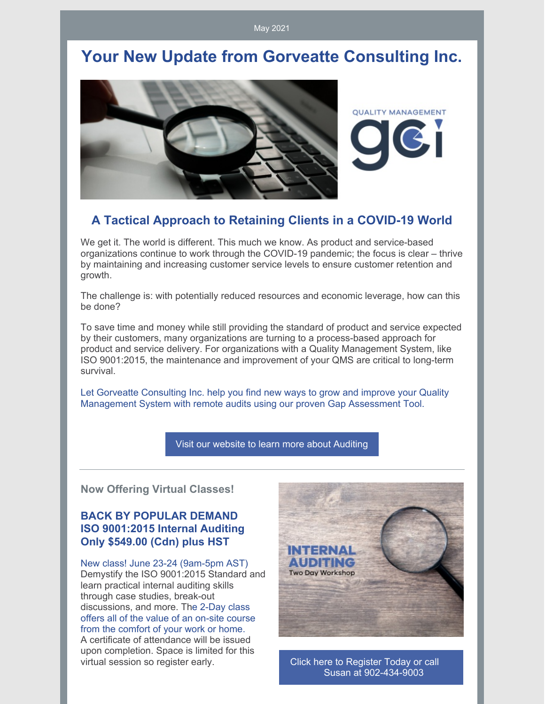May 2021

## **Your New Update from Gorveatte Consulting Inc.**



#### **A Tactical Approach to Retaining Clients in a COVID-19 World**

We get it. The world is different. This much we know. As product and service-based organizations continue to work through the COVID-19 pandemic; the focus is clear – thrive by maintaining and increasing customer service levels to ensure customer retention and growth.

The challenge is: with potentially reduced resources and economic leverage, how can this be done?

To save time and money while still providing the standard of product and service expected by their customers, many organizations are turning to a process-based approach for product and service delivery. For organizations with a Quality Management System, like ISO 9001:2015, the maintenance and improvement of your QMS are critical to long-term survival.

Let Gorveatte Consulting Inc. help you find new ways to grow and improve your Quality Management System with remote audits using our proven Gap Assessment Tool.

Visit our website to learn more about [Auditing](http://www.gorveatteconsulting.com)

**Now Offering Virtual Classes!**

#### **BACK BY POPULAR DEMAND ISO 9001:2015 Internal Auditing Only \$549.00 (Cdn) plus HST**

New class! June 23-24 (9am-5pm AST) Demystify the ISO 9001:2015 Standard and learn practical internal auditing skills through case studies, break-out discussions, and more. The 2-Day class offers all of the value of an on-site course from the comfort of your work or home. A certificate of attendance will be issued upon completion. Space is limited for this virtual session so register early. Click here to Register Today or call



Susan at [902-434-9003](mailto:susan@gorveatteconsulting.com)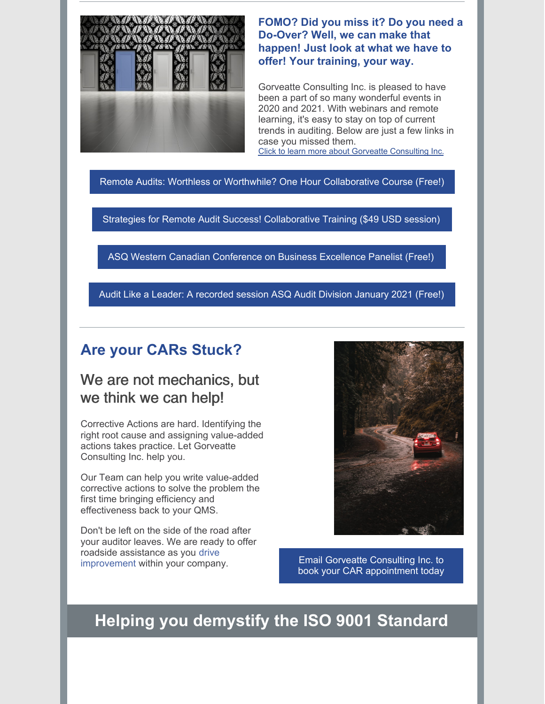

**FOMO? Did you miss it? Do you need a Do-Over? Well, we can make that happen! Just look at what we have to offer! Your training, your way.**

Gorveatte Consulting Inc. is pleased to have been a part of so many wonderful events in 2020 and 2021. With webinars and remote learning, it's easy to stay on top of current trends in auditing. Below are just a few links in case you missed them. Click to learn more about Gorveatte [Consulting](https://www.gorveatteconsulting.com) Inc.

Remote Audits: Worthless or Worthwhile? One Hour [Collaborative](https://www.innovationtrainer.com/a/45725/eSzfFR6p) Course (Free!)

Strategies for Remote Audit Success! [Collaborative](https://www.innovationtrainer.com/a/45481/eSzfFR6p) Training (\$49 USD session)

ASQ Western Canadian [Conference](https://www.youtube.com/watch?v=qfkPxVN5khA&t=751s) on Business Excellence Panelist (Free!)

Audit Like a Leader: A [recorded](https://attendee.gotowebinar.com/recording/5889078149471724555) session ASQ Audit Division January 2021 (Free!)

#### **Are your CARs Stuck?**

### We are not mechanics, but we think we can help!

Corrective Actions are hard. Identifying the right root cause and assigning value-added actions takes practice. Let Gorveatte Consulting Inc. help you.

Our Team can help you write value-added corrective actions to solve the problem the first time bringing efficiency and effectiveness back to your QMS.

Don't be left on the side of the road after your auditor leaves. We are ready to offer roadside assistance as you drive improvement within your company. Email Gorveatte Consulting Inc. to



book your CAR [appointment](https://www.gorveatteconsulting.com/contact.html) today

## **Helping you demystify the ISO 9001 Standard**